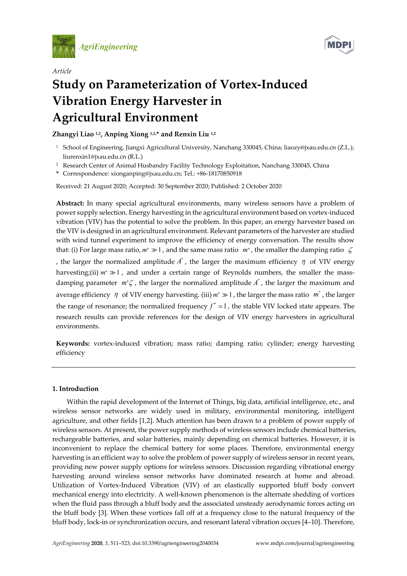



# *Article* **Study on Parameterization of Vortex-Induced Vibration Energy Harvester in Agricultural Environment**

# **Zhangyi Liao 1,2, Anping Xiong 1,2,\* and Renxin Liu 1,2**

- <sup>1</sup> School of Engineering, Jiangxi Agricultural University, Nanchang 330045, China; liaozy@jxau.edu.cn (Z.L.); liurenxin1@jxau.edu.cn (R.L.)
- <sup>2</sup> Research Center of Animal Husbandry Facility Technology Exploitation, Nanchang 330045, China
- **\*** Correspondence: xionganping@jxau.edu.cn; Tel.: +86-18170850918

Received: 21 August 2020; Accepted: 30 September 2020; Published: 2 October 2020

**Abstract:** In many special agricultural environments, many wireless sensors have a problem of power supply selection. Energy harvesting in the agricultural environment based on vortex-induced vibration (VIV) has the potential to solve the problem. In this paper, an energy harvester based on the VIV is designed in an agricultural environment. Relevant parameters of the harvester are studied with wind tunnel experiment to improve the efficiency of energy conversation. The results show that: (i) For large mass ratio,  $m^* \gg 1$ , and the same mass ratio  $m^*$ , the smaller the damping ratio  $\zeta$ , the larger the normalized amplitude  $A^*$ , the larger the maximum efficiency  $\eta$  of VIV energy harvesting;(ii) *m*<sup>\*</sup> ≫ 1, and under a certain range of Reynolds numbers, the smaller the massdamping parameter *m<sup>\*</sup>ζ*, the larger the normalized amplitude *A<sup>\*</sup>*, the larger the maximum and average efficiency  $\eta$  of VIV energy harvesting. (iii)  $m^* \gg 1$ , the larger the mass ratio  $m^*$ , the larger the range of resonance; the normalized frequency  $f^* \approx 1$ , the stable VIV locked state appears. The research results can provide references for the design of VIV energy harvesters in agricultural environments.

**Keywords:** vortex-induced vibration; mass ratio; damping ratio; cylinder; energy harvesting efficiency

# **1. Introduction**

Within the rapid development of the Internet of Things, big data, artificial intelligence, etc., and wireless sensor networks are widely used in military, environmental monitoring, intelligent agriculture, and other fields [1,2]. Much attention has been drawn to a problem of power supply of wireless sensors. At present, the power supply methods of wireless sensors include chemical batteries, rechargeable batteries, and solar batteries, mainly depending on chemical batteries. However, it is inconvenient to replace the chemical battery for some places. Therefore, environmental energy harvesting is an efficient way to solve the problem of power supply of wireless sensor in recent years, providing new power supply options for wireless sensors. Discussion regarding vibrational energy harvesting around wireless sensor networks have dominated research at home and abroad. Utilization of Vortex-Induced Vibration (VIV) of an elastically supported bluff body convert mechanical energy into electricity. A well-known phenomenon is the alternate shedding of vortices when the fluid pass through a bluff body and the associated unsteady aerodynamic forces acting on the bluff body [3]. When these vortices fall off at a frequency close to the natural frequency of the bluff body, lock-in or synchronization occurs, and resonant lateral vibration occurs [4–10]. Therefore,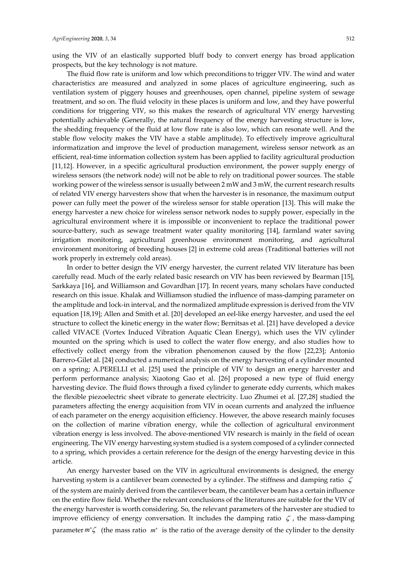using the VIV of an elastically supported bluff body to convert energy has broad application prospects, but the key technology is not mature.

The fluid flow rate is uniform and low which preconditions to trigger VIV. The wind and water characteristics are measured and analyzed in some places of agriculture engineering, such as ventilation system of piggery houses and greenhouses, open channel, pipeline system of sewage treatment, and so on. The fluid velocity in these places is uniform and low, and they have powerful conditions for triggering VIV, so this makes the research of agricultural VIV energy harvesting potentially achievable (Generally, the natural frequency of the energy harvesting structure is low, the shedding frequency of the fluid at low flow rate is also low, which can resonate well. And the stable flow velocity makes the VIV have a stable amplitude). To effectively improve agricultural informatization and improve the level of production management, wireless sensor network as an efficient, real-time information collection system has been applied to facility agricultural production [11,12]. However, in a specific agricultural production environment, the power supply energy of wireless sensors (the network node) will not be able to rely on traditional power sources. The stable working power of the wireless sensor is usually between 2 mW and 3 mW, the current research results of related VIV energy harvesters show that when the harvester is in resonance, the maximum output power can fully meet the power of the wireless sensor for stable operation [13]. This will make the energy harvester a new choice for wireless sensor network nodes to supply power, especially in the agricultural environment where it is impossible or inconvenient to replace the traditional power source-battery, such as sewage treatment water quality monitoring [14], farmland water saving irrigation monitoring, agricultural greenhouse environment monitoring, and agricultural environment monitoring of breeding houses [2] in extreme cold areas (Traditional batteries will not work properly in extremely cold areas).

In order to better design the VIV energy harvester, the current related VIV literature has been carefully read. Much of the early related basic research on VIV has been reviewed by Bearman [15], Sarkkaya [16], and Williamson and Govardhan [17]. In recent years, many scholars have conducted research on this issue. Khalak and Williamson studied the influence of mass-damping parameter on the amplitude and lock-in interval, and the normalized amplitude expression is derived from the VIV equation [18,19]; Allen and Smith et al. [20] developed an eel-like energy harvester, and used the eel structure to collect the kinetic energy in the water flow; Bernitsas et al. [21] have developed a device called VIVACE (Vortex Induced Vibration Aquatic Clean Energy), which uses the VIV cylinder mounted on the spring which is used to collect the water flow energy, and also studies how to effectively collect energy from the vibration phenomenon caused by the flow [22,23]; Antonio Barrero-Gilet al. [24] conducted a numerical analysis on the energy harvesting of a cylinder mounted on a spring; A.PERELLI et al. [25] used the principle of VIV to design an energy harvester and perform performance analysis; Xiaotong Gao et al. [26] proposed a new type of fluid energy harvesting device. The fluid flows through a fixed cylinder to generate eddy currents, which makes the flexible piezoelectric sheet vibrate to generate electricity. Luo Zhumei et al. [27,28] studied the parameters affecting the energy acquisition from VIV in ocean currents and analyzed the influence of each parameter on the energy acquisition efficiency. However, the above research mainly focuses on the collection of marine vibration energy, while the collection of agricultural environment vibration energy is less involved. The above-mentioned VIV research is mainly in the field of ocean engineering. The VIV energy harvesting system studied is a system composed of a cylinder connected to a spring, which provides a certain reference for the design of the energy harvesting device in this article.

An energy harvester based on the VIV in agricultural environments is designed, the energy harvesting system is a cantilever beam connected by a cylinder. The stiffness and damping ratio ζ of the system are mainly derived from the cantilever beam, the cantilever beam has a certain influence on the entire flow field. Whether the relevant conclusions of the literatures are suitable for the VIV of the energy harvester is worth considering. So, the relevant parameters of the harvester are studied to improve efficiency of energy conversation. It includes the damping ratio  $\zeta$ , the mass-damping parameter *m* ζ<sup>∗</sup> (the mass ratio *m*<sup>∗</sup> is the ratio of the average density of the cylinder to the density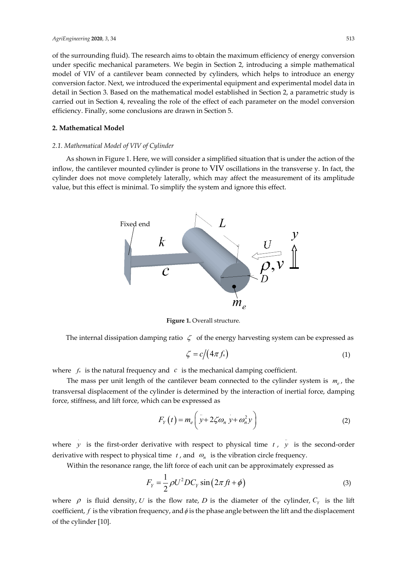of the surrounding fluid). The research aims to obtain the maximum efficiency of energy conversion under specific mechanical parameters. We begin in Section 2, introducing a simple mathematical model of VIV of a cantilever beam connected by cylinders, which helps to introduce an energy conversion factor. Next, we introduced the experimental equipment and experimental model data in detail in Section 3. Based on the mathematical model established in Section 2, a parametric study is carried out in Section 4, revealing the role of the effect of each parameter on the model conversion efficiency. Finally, some conclusions are drawn in Section 5.

#### **2. Mathematical Model**

## *2.1. Mathematical Model of VIV of Cylinder*

As shown in Figure 1. Here, we will consider a simplified situation that is under the action of the inflow, the cantilever mounted cylinder is prone to VIV oscillations in the transverse y. In fact, the cylinder does not move completely laterally, which may affect the measurement of its amplitude value, but this effect is minimal. To simplify the system and ignore this effect.



**Figure 1. Overall structure.** 

The internal dissipation damping ratio  $\zeta$  of the energy harvesting system can be expressed as

$$
\zeta = c/(4\pi f_n) \tag{1}
$$

where  $f_n$  is the natural frequency and  $c$  is the mechanical damping coefficient.

The mass per unit length of the cantilever beam connected to the cylinder system is  $m_e$ , the transversal displacement of the cylinder is determined by the interaction of inertial force, damping force, stiffness, and lift force, which can be expressed as

$$
F_Y(t) = m_e \left( y + 2\zeta \omega_n y + \omega_n^2 y \right)
$$
 (2)

where *y* is the first-order derivative with respect to physical time *t*, *y* is the second-order derivative with respect to physical time  $t$ , and  $\omega_n$  is the vibration circle frequency.

Within the resonance range, the lift force of each unit can be approximately expressed as

$$
F_{Y} = \frac{1}{2} \rho U^2 D C_Y \sin(2\pi f t + \phi)
$$
\n(3)

where  $\rho$  is fluid density, *U* is the flow rate, *D* is the diameter of the cylinder,  $C_\gamma$  is the lift coefficient,  $f$  is the vibration frequency, and  $\phi$  is the phase angle between the lift and the displacement of the cylinder [10].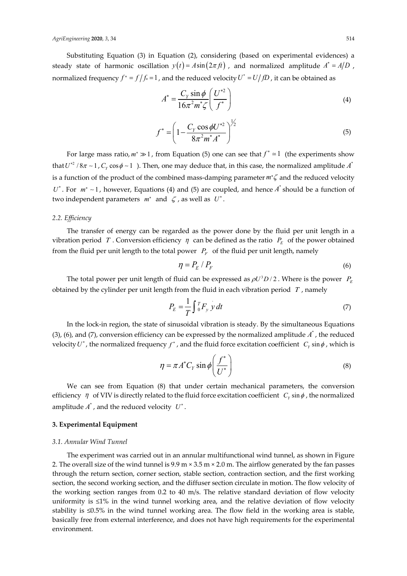#### *AgriEngineering* **2020**, *3*, 34 514

Substituting Equation (3) in Equation (2), considering (based on experimental evidences) a steady state of harmonic oscillation  $y(t) = A\sin(2\pi ft)$ , and normalized amplitude  $A^* = A/D$ , normalized frequency  $f^* = f/f_n = 1$ , and the reduced velocity  $U^* = U/fD$ , it can be obtained as

$$
A^* = \frac{C_Y \sin \phi}{16\pi^2 m^* \zeta} \left(\frac{U^{*2}}{f^*}\right)
$$
 (4)

$$
f^* = \left(1 - \frac{C_Y \cos \phi U^{*2}}{8\pi^2 m^* A^*}\right)^{\frac{1}{2}}
$$
(5)

For large mass ratio,  $m^* \gg 1$ , from Equation (5) one can see that  $f^* \approx 1$  (the experiments show that  $U^{*2}/8\pi \sim 1$ ,  $C_y \cos \phi \sim 1$ . Then, one may deduce that, in this case, the normalized amplitude  $A^*$ is a function of the product of the combined mass-damping parameter  $m^*$  and the reduced velocity *U*<sup>∗</sup>. For  $m^* \sim 1$ , however, Equations (4) and (5) are coupled, and hence  $A^*$  should be a function of two independent parameters  $m^*$  and  $\zeta$ , as well as  $U^*$ .

#### *2.2. Efficiency*

The transfer of energy can be regarded as the power done by the fluid per unit length in a vibration period *T* . Conversion efficiency  $\eta$  can be defined as the ratio  $P<sub>E</sub>$  of the power obtained from the fluid per unit length to the total power  $P_F$  of the fluid per unit length, namely

$$
\eta = P_E / P_F \tag{6}
$$

The total power per unit length of fluid can be expressed as  $\rho U^3 D / 2$ . Where is the power  $P_E$ obtained by the cylinder per unit length from the fluid in each vibration period *T* , namely

$$
P_E = \frac{1}{T} \int_0^T F_y \, y \, dt \tag{7}
$$

In the lock-in region, the state of sinusoidal vibration is steady. By the simultaneous Equations (3), (6), and (7), conversion efficiency can be expressed by the normalized amplitude  $A^*$ , the reduced velocity  $U^*$ , the normalized frequency  $f^*$ , and the fluid force excitation coefficient  $C_y \sin \phi$ , which is

$$
\eta = \pi A^* C_Y \sin \phi \left( \frac{f^*}{U^*} \right) \tag{8}
$$

We can see from Equation (8) that under certain mechanical parameters, the conversion efficiency  $\eta$  of VIV is directly related to the fluid force excitation coefficient  $C_Y \sin \phi$ , the normalized amplitude  $A^*$ , and the reduced velocity  $U^*$ .

# **3. Experimental Equipment**

#### *3.1. Annular Wind Tunnel*

The experiment was carried out in an annular multifunctional wind tunnel, as shown in Figure 2. The overall size of the wind tunnel is  $9.9 \text{ m} \times 3.5 \text{ m} \times 2.0 \text{ m}$ . The airflow generated by the fan passes through the return section, corner section, stable section, contraction section, and the first working section, the second working section, and the diffuser section circulate in motion. The flow velocity of the working section ranges from 0.2 to 40 m/s. The relative standard deviation of flow velocity uniformity is ≤1% in the wind tunnel working area, and the relative deviation of flow velocity stability is ≤0.5% in the wind tunnel working area. The flow field in the working area is stable, basically free from external interference, and does not have high requirements for the experimental environment.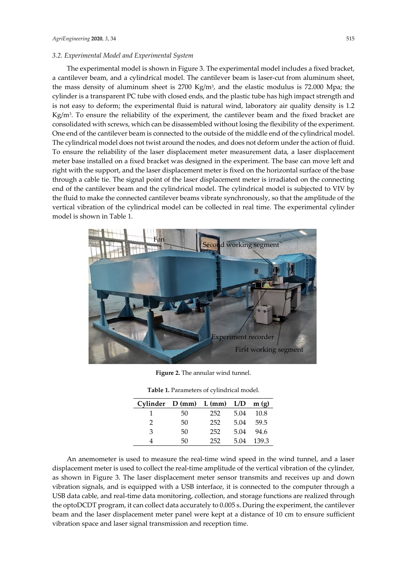### *3.2. Experimental Model and Experimental System*

The experimental model is shown in Figure 3. The experimental model includes a fixed bracket, a cantilever beam, and a cylindrical model. The cantilever beam is laser-cut from aluminum sheet, the mass density of aluminum sheet is  $2700 \text{ Kg/m}^3$ , and the elastic modulus is 72.000 Mpa; the cylinder is a transparent PC tube with closed ends, and the plastic tube has high impact strength and is not easy to deform; the experimental fluid is natural wind, laboratory air quality density is 1.2  $Kg/m<sup>3</sup>$ . To ensure the reliability of the experiment, the cantilever beam and the fixed bracket are consolidated with screws, which can be disassembled without losing the flexibility of the experiment. One end of the cantilever beam is connected to the outside of the middle end of the cylindrical model. The cylindrical model does not twist around the nodes, and does not deform under the action of fluid. To ensure the reliability of the laser displacement meter measurement data, a laser displacement meter base installed on a fixed bracket was designed in the experiment. The base can move left and right with the support, and the laser displacement meter is fixed on the horizontal surface of the base through a cable tie. The signal point of the laser displacement meter is irradiated on the connecting end of the cantilever beam and the cylindrical model. The cylindrical model is subjected to VIV by the fluid to make the connected cantilever beams vibrate synchronously, so that the amplitude of the vertical vibration of the cylindrical model can be collected in real time. The experimental cylinder model is shown in Table 1.



**Figure 2.** The annular wind tunnel.

| Cylinder $D (mm)$ $L (mm)$ $L/D$ |    |     |      | m(g)  |
|----------------------------------|----|-----|------|-------|
|                                  | 50 | 252 | 5.04 | 10.8  |
|                                  | 50 | 252 | 5.04 | 59.5  |
| з                                | 50 | 252 | 5.04 | 94.6  |
|                                  | 50 | 252 | 5.04 | 139.3 |

**Table 1.** Parameters of cylindrical model.

An anemometer is used to measure the real-time wind speed in the wind tunnel, and a laser displacement meter is used to collect the real-time amplitude of the vertical vibration of the cylinder, as shown in Figure 3. The laser displacement meter sensor transmits and receives up and down vibration signals, and is equipped with a USB interface, it is connected to the computer through a USB data cable, and real-time data monitoring, collection, and storage functions are realized through the optoDCDT program, it can collect data accurately to 0.005 s. During the experiment, the cantilever beam and the laser displacement meter panel were kept at a distance of 10 cm to ensure sufficient vibration space and laser signal transmission and reception time.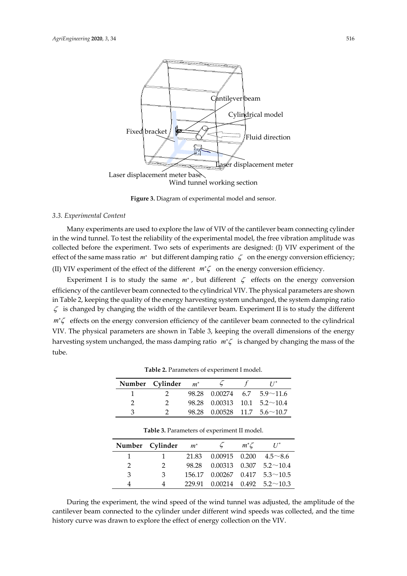

**Figure 3.** Diagram of experimental model and sensor.

#### *3.3. Experimental Content*

Many experiments are used to explore the law of VIV of the cantilever beam connecting cylinder in the wind tunnel. To test the reliability of the experimental model, the free vibration amplitude was collected before the experiment. Two sets of experiments are designed: (I) VIV experiment of the effect of the same mass ratio *m*<sup>∗</sup> but different damping ratio ζ on the energy conversion efficiency; (II) VIV experiment of the effect of the different *m* ζ<sup>∗</sup> on the energy conversion efficiency.

Experiment I is to study the same  $m<sup>*</sup>$ , but different  $\zeta$  effects on the energy conversion efficiency of the cantilever beam connected to the cylindrical VIV. The physical parameters are shown in Table 2, keeping the quality of the energy harvesting system unchanged, the system damping ratio  $\zeta$  is changed by changing the width of the cantilever beam. Experiment II is to study the different *m*<sup>\*</sup>ζ effects on the energy conversion efficiency of the cantilever beam connected to the cylindrical VIV. The physical parameters are shown in Table 3, keeping the overall dimensions of the energy harvesting system unchanged, the mass damping ratio *m* ζ<sup>∗</sup> is changed by changing the mass of the tube.

|   | Number Cylinder $m^*$ $\sim$ 5 |  |                                     |
|---|--------------------------------|--|-------------------------------------|
|   | $\mathcal{P}$                  |  | $98.28$ 0.00274 6.7 5.9 \cdot 11.6  |
|   | $\mathcal{D}$                  |  | $98.28$ 0.00313 10.1 5.2 \cdot 10.4 |
| 2 |                                |  | $98.28$ 0.00528 11.7 5.6 ~ 10.7     |

**Table 2.** Parameters of experiment I model.

|               | Number Cylinder | $m^*$ | $\zeta$ | $m^*\mathcal{L}$ | $U^*$                                                |
|---------------|-----------------|-------|---------|------------------|------------------------------------------------------|
|               |                 |       |         |                  | $21.83 \quad 0.00915 \quad 0.200 \quad 4.5 \sim 8.6$ |
| $\mathcal{P}$ |                 |       |         |                  | $98.28$ 0.00313 0.307 5.2 \cdot 10.4                 |
| 3             | 3               |       |         |                  | $156.17$ 0.00267 0.417 5.3~10.5                      |
|               |                 |       |         |                  | $229.91$ 0.00214 0.492 5.2 \cdot 10.3                |

**Table 3.** Parameters of experiment II model.

During the experiment, the wind speed of the wind tunnel was adjusted, the amplitude of the cantilever beam connected to the cylinder under different wind speeds was collected, and the time history curve was drawn to explore the effect of energy collection on the VIV.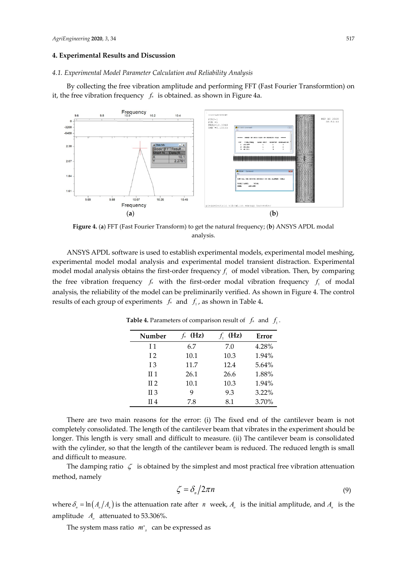#### **4. Experimental Results and Discussion**

#### *4.1. Experimental Model Parameter Calculation and Reliability Analysis*

By collecting the free vibration amplitude and performing FFT (Fast Fourier Transformtion) on it, the free vibration frequency  $f_n$  is obtained. as shown in Figure 4a.



**Figure 4.** (**a**) FFT (Fast Fourier Transform) to get the natural frequency; (**b**) ANSYS APDL modal analysis.

ANSYS APDL software is used to establish experimental models, experimental model meshing, experimental model modal analysis and experimental model transient distraction. Experimental model modal analysis obtains the first-order frequency  $f_i$  of model vibration. Then, by comparing the free vibration frequency  $f_n$  with the first-order modal vibration frequency  $f_n$  of modal analysis, the reliability of the model can be preliminarily verified. As shown in Figure 4. The control results of each group of experiments  $f_n$  and  $f_1$ , as shown in Table 4.

| Number  | (Hz) | $f_1$ (Hz) | Error |
|---------|------|------------|-------|
| I 1     | 6.7  | 7.0        | 4.28% |
| 12      | 10.1 | 10.3       | 1.94% |
| 13      | 11.7 | 12.4       | 5.64% |
| $\Pi$ 1 | 26.1 | 26.6       | 1.88% |
| $\Pi$ 2 | 10.1 | 10.3       | 1.94% |
| $\Pi$ 3 | 9    | 9.3        | 3.22% |
| II 4    | 7.8  | 8.1        | 3.70% |

**Table 4.** Parameters of comparison result of  $f_n$  and  $f_1$ .

There are two main reasons for the error: (i) The fixed end of the cantilever beam is not completely consolidated. The length of the cantilever beam that vibrates in the experiment should be longer. This length is very small and difficult to measure. (ii) The cantilever beam is consolidated with the cylinder, so that the length of the cantilever beam is reduced. The reduced length is small and difficult to measure.

The damping ratio  $\zeta$  is obtained by the simplest and most practical free vibration attenuation method, namely

$$
\zeta = \delta_n / 2\pi n \tag{9}
$$

where  $\delta_n = \ln(A_o/A_n)$  is the attenuation rate after *n* week,  $A_o$  is the initial amplitude, and  $A_n$  is the amplitude *A* attenuated to 53.306%.

The system mass ratio  $m^*$ <sub>s</sub> can be expressed as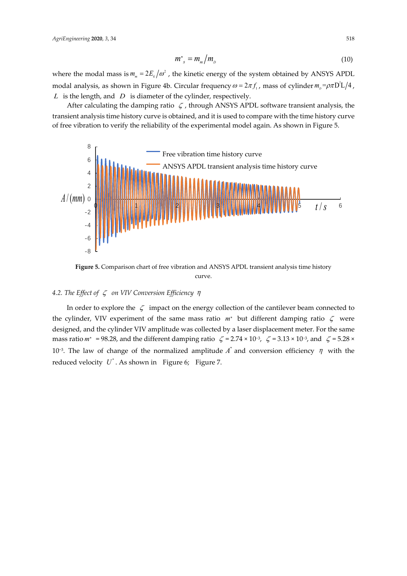$$
m^*_{s} = m_m / m_D \tag{10}
$$

where the modal mass is  $m_m = 2E_k/\omega^2$ , the kinetic energy of the system obtained by ANSYS APDL modal analysis, as shown in Figure 4b. Circular frequency  $\omega = 2\pi f$  , mass of cylinder  $m_{_D} = \rho \pi D^2 L/4$  , *L* is the length, and *D* is diameter of the cylinder, respectively.

After calculating the damping ratio  $\zeta$ , through ANSYS APDL software transient analysis, the transient analysis time history curve is obtained, and it is used to compare with the time history curve of free vibration to verify the reliability of the experimental model again. As shown in Figure 5.



**Figure 5.** Comparison chart of free vibration and ANSYS APDL transient analysis time history curve.

## *4.2. The Effect of* ζ *on VIV Conversion Efficiency* η

In order to explore the  $\zeta$  impact on the energy collection of the cantilever beam connected to the cylinder, VIV experiment of the same mass ratio *m*<sup>∗</sup> but different damping ratio ζ were designed, and the cylinder VIV amplitude was collected by a laser displacement meter. For the same mass ratio  $m^* = 98.28$ , and the different damping ratio  $\zeta = 2.74 \times 10^{-3}$ ,  $\zeta = 3.13 \times 10^{-3}$ , and  $\zeta = 5.28 \times 10^{-3}$ 10<sup>-3</sup>. The law of change of the normalized amplitude  $A^*$  and conversion efficiency η with the reduced velocity  $U^*$ . As shown in Figure 6; Figure 7.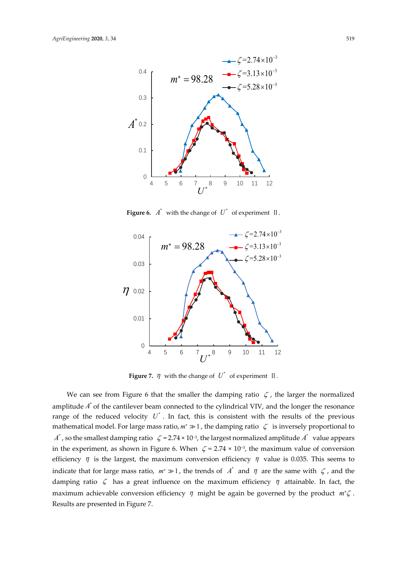

**Figure 6.**  $A^*$  with the change of  $U^*$  of experiment  $\Pi$ .



**Figure 7.**  $\eta$  with the change of  $U^*$  of experiment II.

We can see from Figure 6 that the smaller the damping ratio  $\zeta$ , the larger the normalized amplitude  $A^*$  of the cantilever beam connected to the cylindrical VIV, and the longer the resonance range of the reduced velocity  $U^*$ . In fact, this is consistent with the results of the previous mathematical model. For large mass ratio,  $m^* \gg 1$ , the damping ratio  $\zeta$  is inversely proportional to  $A^*$ , so the smallest damping ratio  $\zeta = 2.74 \times 10^{-3}$ , the largest normalized amplitude  $A^*$  value appears in the experiment, as shown in Figure 6. When  $\zeta$  = 2.74 × 10<sup>-3</sup>, the maximum value of conversion efficiency  $\eta$  is the largest, the maximum conversion efficiency  $\eta$  value is 0.035. This seems to indicate that for large mass ratio,  $m^* \gg 1$ , the trends of  $A^*$  and  $\eta$  are the same with  $\zeta$ , and the damping ratio  $\zeta$  has a great influence on the maximum efficiency  $\eta$  attainable. In fact, the maximum achievable conversion efficiency  $η$  might be again be governed by the product  $m<sup>*</sup>ζ$ . Results are presented in Figure 7.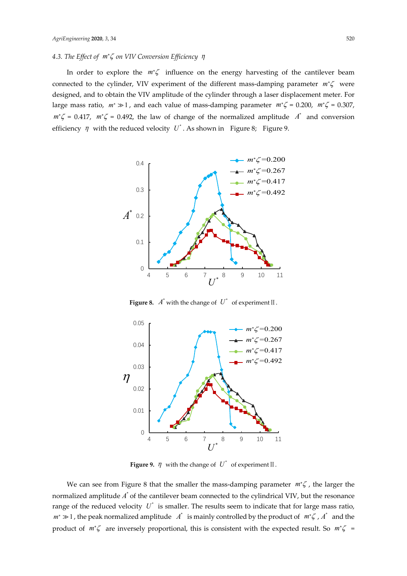# *4.3. The Effect of m<sup>\*</sup>ζ on VIV Conversion Efficiency η*

In order to explore the *m*<sup>∗</sup>ζ influence on the energy harvesting of the cantilever beam connected to the cylinder, VIV experiment of the different mass-damping parameter *m*<sup>∗</sup>ζ were designed, and to obtain the VIV amplitude of the cylinder through a laser displacement meter. For large mass ratio,  $m^*$  ≫ 1, and each value of mass-damping parameter  $m^*ζ = 0.200$ ,  $m^*ζ = 0.307$ ,  $m^* \zeta = 0.417$ ,  $m^* \zeta = 0.492$ , the law of change of the normalized amplitude  $A^*$  and conversion efficiency  $\eta$  with the reduced velocity U<sup>\*</sup>. As shown in Figure 8; Figure 9.



**Figure 8.**  $A^*$  with the change of  $U^*$  of experiment  $II$ .



**Figure 9.**  $\eta$  with the change of  $U^*$  of experiment II.

We can see from Figure 8 that the smaller the mass-damping parameter  $m$ <sup>\*</sup> $\zeta$ , the larger the normalized amplitude  $A^*$  of the cantilever beam connected to the cylindrical VIV, but the resonance range of the reduced velocity  $U^*$  is smaller. The results seem to indicate that for large mass ratio, *m*<sup>∗</sup>  $\gg$  1, the peak normalized amplitude  $\Lambda^*$  is mainly controlled by the product of  $m^* \zeta$ ,  $\Lambda^*$  and the product of *m*<sup>\*</sup>ζ are inversely proportional, this is consistent with the expected result. So *m*<sup>\*</sup>ζ =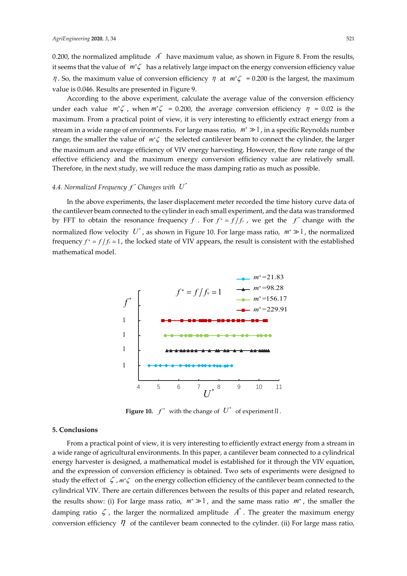0.200, the normalized amplitude  $A^*$  have maximum value, as shown in Figure 8. From the results, it seems that the value of *m* ζ<sup>∗</sup> has a relatively large impact on the energy conversion efficiency value  $η$ . So, the maximum value of conversion efficiency  $η$  at  $m<sup>*</sup>ζ$  = 0.200 is the largest, the maximum value is 0.046. Results are presented in Figure 9.

According to the above experiment, calculate the average value of the conversion efficiency under each value  $m^* \zeta$ , when  $m^* \zeta = 0.200$ , the average conversion efficiency  $\eta = 0.02$  is the maximum. From a practical point of view, it is very interesting to efficiently extract energy from a stream in a wide range of environments. For large mass ratio,  $m^* \gg 1$ , in a specific Reynolds number range, the smaller the value of *m* ζ<sup>∗</sup> the selected cantilever beam to connect the cylinder, the larger the maximum and average efficiency of VIV energy harvesting. However, the flow rate range of the effective efficiency and the maximum energy conversion efficiency value are relatively small. Therefore, in the next study, we will reduce the mass damping ratio as much as possible.

#### 4.4. Normalized Frequency  $f^*$  Changes with  $U^*$

In the above experiments, the laser displacement meter recorded the time history curve data of the cantilever beam connected to the cylinder in each small experiment, and the data was transformed by FFT to obtain the resonance frequency *f* . For  $f^* = f/f_x$ , we get the  $f^*$  change with the normalized flow velocity  $U^*$ , as shown in Figure 10. For large mass ratio,  $m^* \gg 1$ , the normalized frequency  $f^* = f/f_x \approx 1$ , the locked state of VIV appears, the result is consistent with the established mathematical model.



**Figure 10.**  $f^*$  with the change of  $U^*$  of experiment  $\mathbb{I}$ .

## **5. Conclusions**

From a practical point of view, it is very interesting to efficiently extract energy from a stream in a wide range of agricultural environments. In this paper, a cantilever beam connected to a cylindrical energy harvester is designed, a mathematical model is established for it through the VIV equation, and the expression of conversion efficiency is obtained. Two sets of experiments were designed to study the effect of ζ , *m* ζ<sup>∗</sup> on the energy collection efficiency of the cantilever beam connected to the cylindrical VIV. There are certain differences between the results of this paper and related research, the results show: (i) For large mass ratio,  $m^* \gg 1$ , and the same mass ratio  $m^*$ , the smaller the damping ratio  $\zeta$ , the larger the normalized amplitude  $\vec{A}^*$ . The greater the maximum energy conversion efficiency  $\eta$  of the cantilever beam connected to the cylinder. (ii) For large mass ratio,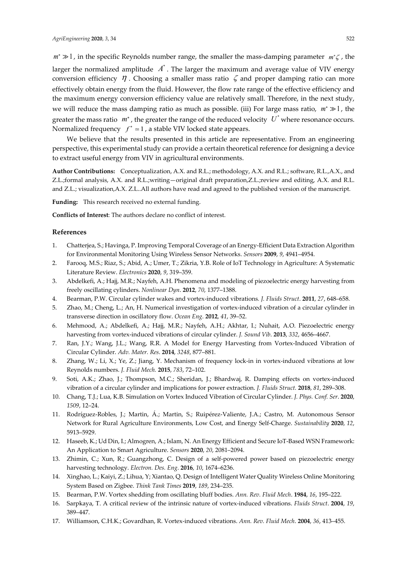*m*<sup> $*$ </sup>  $\gg$  1, in the specific Reynolds number range, the smaller the mass-damping parameter *m*<sup>∗</sup>  $\zeta$ , the larger the normalized amplitude  $\overrightarrow{A}$ . The larger the maximum and average value of VIV energy conversion efficiency  $\eta$ . Choosing a smaller mass ratio  $\zeta$  and proper damping ratio can more effectively obtain energy from the fluid. However, the flow rate range of the effective efficiency and the maximum energy conversion efficiency value are relatively small. Therefore, in the next study, we will reduce the mass damping ratio as much as possible. (iii) For large mass ratio,  $m^* \gg 1$ , the greater the mass ratio  $m^*$ , the greater the range of the reduced velocity  $U^*$  where resonance occurs. Normalized frequency  $f^* \approx 1$ , a stable VIV locked state appears.

We believe that the results presented in this article are representative. From an engineering perspective, this experimental study can provide a certain theoretical reference for designing a device to extract useful energy from VIV in agricultural environments.

**Author Contributions:** Conceptualization, A.X. and R.L.; methodology, A.X. and R.L.; software, R.L.,A.X., and Z.L.;formal analysis, A.X. and R.L.;writing—original draft preparation,Z.L.;review and editing, A.X. and R.L. and Z.L.; visualization,A.X. Z.L..All authors have read and agreed to the published version of the manuscript.

**Funding:** This research received no external funding.

**Conflicts of Interest**: The authors declare no conflict of interest.

#### **References**

- 1. Chatterjea, S.; Havinga, P. Improving Temporal Coverage of an Energy-Efficient Data Extraction Algorithm for Environmental Monitoring Using Wireless Sensor Networks. *Sensors* **2009**, *9*, 4941–4954.
- 2. Farooq, M.S.; Riaz, S.; Abid, A.; Umer, T.; Zikria, Y.B. Role of IoT Technology in Agriculture: A Systematic Literature Review. *Electronics* **2020**, *9*, 319–359.
- 3. Abdelkefi, A.; Hajj, M.R.; Nayfeh, A.H. Phenomena and modeling of piezoelectric energy harvesting from freely oscillating cylinders. *Nonlinear Dyn*. **2012**, *70*, 1377–1388.
- 4. Bearman, P.W. Circular cylinder wakes and vortex-induced vibrations*. J. Fluids Struct*. **2011**, *27*, 648–658.
- 5. Zhao, M.; Cheng, L.; An, H. Numerical investigation of vortex-induced vibration of a circular cylinder in transverse direction in oscillatory flow. *Ocean Eng*. **2012**, *41*, 39–52.
- 6. Mehmood, A.; Abdelkefi, A.; Hajj, M.R.; Nayfeh, A.H.; Akhtar, I.; Nuhait, A.O. Piezoelectric energy harvesting from vortex-induced vibrations of circular cylinder. *J. Sound Vib*. **2013**, *332*, 4656–4667.
- 7. Ran, J.Y.; Wang, J.L.; Wang, R.R. A Model for Energy Harvesting from Vortex-Induced Vibration of Circular Cylinder. *Adv. Mater. Res*. **2014**, *3248*, 877–881.
- 8. Zhang, W.; Li, X.; Ye, Z.; Jiang, Y. Mechanism of frequency lock-in in vortex-induced vibrations at low Reynolds numbers. *J. Fluid Mech.* **2015**, *783*, 72–102.
- 9. Soti, A.K.; Zhao, J.; Thompson, M.C.; Sheridan, J.; Bhardwaj, R. Damping effects on vortex-induced vibration of a circular cylinder and implications for power extraction. *J. Fluids Struct.* **2018**, *81*, 289–308.
- 10. Chang, T.J.; Lua, K.B. Simulation on Vortex Induced Vibration of Circular Cylinder. *J. Phys. Conf. Ser*. **2020**, *1509*, 12–24.
- 11. Rodríguez-Robles, J.; Martin, Á.; Martin, S.; Ruipérez-Valiente, J.A.; Castro, M. Autonomous Sensor Network for Rural Agriculture Environments, Low Cost, and Energy Self-Charge. *Sustainability* **2020**, *12*, 5913–5929.
- 12. Haseeb, K.; Ud Din, I.; Almogren, A.; Islam, N. An Energy Efficient and Secure IoT-Based WSN Framework: An Application to Smart Agriculture. *Sensors* **2020**, *20*, 2081–2094.
- 13. Zhimin, C.; Xun, R.; Guangzhong, C. Design of a self-powered power based on piezoelectric energy harvesting technology. *Electron. Des. Eng*. **2016**, *10*, 1674–6236.
- 14. Xinghao, L.; Kaiyi, Z.; Lihua, Y; Xiantao, Q. Design of Intelligent Water Quality Wireless Online Monitoring System Based on Zigbee. *Think Tank Times* **2019**, *189*, 234–235.
- 15. Bearman, P.W. Vortex shedding from oscillating bluff bodies. *Ann. Rev. Fluid Mech*. **1984**, *16*, 195–222.
- 16. Sarpkaya, T. A critical review of the intrinsic nature of vortex-induced vibrations. *Fluids Struct*. **2004**, *19*, 389–447.
- 17. Williamson, C.H.K.; Govardhan, R. Vortex-induced vibrations. *Ann. Rev. Fluid Mech*. **2004**, *36*, 413–455.